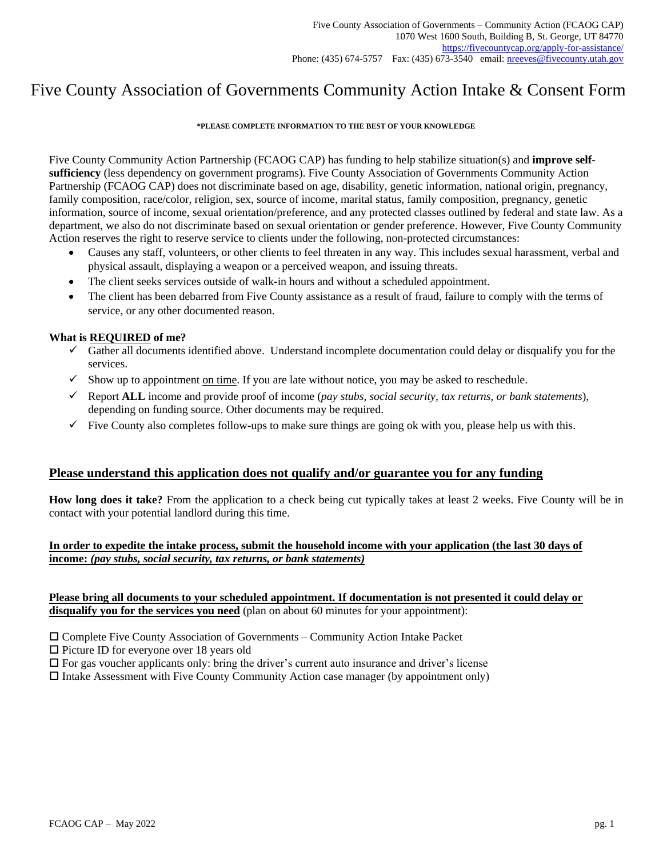# Five County Association of Governments Community Action Intake & Consent Form

### **\*PLEASE COMPLETE INFORMATION TO THE BEST OF YOUR KNOWLEDGE**

Five County Community Action Partnership (FCAOG CAP) has funding to help stabilize situation(s) and **improve selfsufficiency** (less dependency on government programs). Five County Association of Governments Community Action Partnership (FCAOG CAP) does not discriminate based on age, disability, genetic information, national origin, pregnancy, family composition, race/color, religion, sex, source of income, marital status, family composition, pregnancy, genetic information, source of income, sexual orientation/preference, and any protected classes outlined by federal and state law. As a department, we also do not discriminate based on sexual orientation or gender preference. However, Five County Community Action reserves the right to reserve service to clients under the following, non-protected circumstances:

- Causes any staff, volunteers, or other clients to feel threaten in any way. This includes sexual harassment, verbal and physical assault, displaying a weapon or a perceived weapon, and issuing threats.
- The client seeks services outside of walk-in hours and without a scheduled appointment.
- The client has been debarred from Five County assistance as a result of fraud, failure to comply with the terms of service, or any other documented reason.

### **What is REQUIRED of me?**

- ✓ Gather all documents identified above. Understand incomplete documentation could delay or disqualify you for the services.
- $\checkmark$  Show up to appointment on time. If you are late without notice, you may be asked to reschedule.
- ✓ Report **ALL** income and provide proof of income (*pay stubs, social security, tax returns, or bank statements*), depending on funding source. Other documents may be required.
- $\checkmark$  Five County also completes follow-ups to make sure things are going ok with you, please help us with this.

### **Please understand this application does not qualify and/or guarantee you for any funding**

**How long does it take?** From the application to a check being cut typically takes at least 2 weeks. Five County will be in contact with your potential landlord during this time.

### **In order to expedite the intake process, submit the household income with your application (the last 30 days of income:** *(pay stubs, social security, tax returns, or bank statements)*

### **Please bring all documents to your scheduled appointment. If documentation is not presented it could delay or disqualify you for the services you need** (plan on about 60 minutes for your appointment):

- Complete Five County Association of Governments Community Action Intake Packet
- $\square$  Picture ID for everyone over 18 years old
- $\Box$  For gas voucher applicants only: bring the driver's current auto insurance and driver's license
- $\Box$  Intake Assessment with Five County Community Action case manager (by appointment only)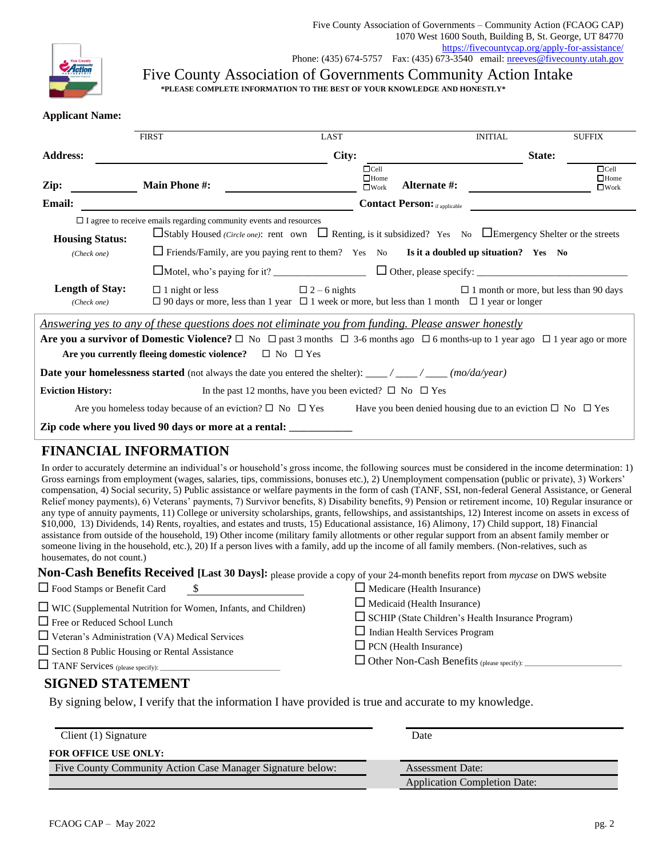

Five County Association of Governments Community Action Intake **\*PLEASE COMPLETE INFORMATION TO THE BEST OF YOUR KNOWLEDGE AND HONESTLY\***

### **Applicant Name:**

|                                                                                                                                                                                                                                     | <b>FIRST</b>                                                      | LAST                                                                                                                                                            | <b>INITIAL</b>                       | <b>SUFFIX</b>                                 |  |
|-------------------------------------------------------------------------------------------------------------------------------------------------------------------------------------------------------------------------------------|-------------------------------------------------------------------|-----------------------------------------------------------------------------------------------------------------------------------------------------------------|--------------------------------------|-----------------------------------------------|--|
| <b>Address:</b>                                                                                                                                                                                                                     |                                                                   | City:                                                                                                                                                           |                                      | State:                                        |  |
| Zip:<br><b>Email:</b>                                                                                                                                                                                                               | <b>Main Phone #:</b>                                              | $\Box$ Cell<br>$\Box$ Home<br>$\Box$ Work                                                                                                                       | Alternate #:                         | $\Box$ Cell<br>$\Box$ Home<br>$\square$ Work  |  |
|                                                                                                                                                                                                                                     |                                                                   |                                                                                                                                                                 | <b>Contact Person:</b> if applicable |                                               |  |
| $\Box$ I agree to receive emails regarding community events and resources<br>$\Box$ Stably Housed (Circle one): rent own $\Box$ Renting, is it subsidized? Yes No $\Box$ Emergency Shelter or the streets<br><b>Housing Status:</b> |                                                                   |                                                                                                                                                                 |                                      |                                               |  |
| (Check one)                                                                                                                                                                                                                         |                                                                   | $\Box$ Friends/Family, are you paying rent to them? Yes No Is it a doubled up situation? Yes No                                                                 |                                      |                                               |  |
|                                                                                                                                                                                                                                     |                                                                   |                                                                                                                                                                 |                                      |                                               |  |
| <b>Length of Stay:</b><br>(Check one)                                                                                                                                                                                               | $\Box$ 1 night or less                                            | $\Box$ 2 – 6 nights<br>$\Box$ 90 days or more, less than 1 year $\Box$ 1 week or more, but less than 1 month $\Box$ 1 year or longer                            |                                      | $\Box$ 1 month or more, but less than 90 days |  |
|                                                                                                                                                                                                                                     |                                                                   | Answering yes to any of these questions does not eliminate you from funding. Please answer honestly                                                             |                                      |                                               |  |
|                                                                                                                                                                                                                                     | Are you currently fleeing domestic violence? $\Box$ No $\Box$ Yes | <b>Are you a survivor of Domestic Violence?</b> $\Box$ No $\Box$ past 3 months $\Box$ 3-6 months ago $\Box$ 6 months-up to 1 year ago $\Box$ 1 year ago or more |                                      |                                               |  |
| <b>Date your homelessness started</b> (not always the date you entered the shelter): ____/____/____(mo/da/year)                                                                                                                     |                                                                   |                                                                                                                                                                 |                                      |                                               |  |
| <b>Eviction History:</b>                                                                                                                                                                                                            |                                                                   | In the past 12 months, have you been evicted? $\square$ No $\square$ Yes                                                                                        |                                      |                                               |  |
| Are you homeless today because of an eviction? $\Box$ No $\Box$ Yes Have you been denied housing due to an eviction $\Box$ No $\Box$ Yes                                                                                            |                                                                   |                                                                                                                                                                 |                                      |                                               |  |
| Zip code where you lived 90 days or more at a rental:                                                                                                                                                                               |                                                                   |                                                                                                                                                                 |                                      |                                               |  |

### **FINANCIAL INFORMATION**

In order to accurately determine an individual's or household's gross income, the following sources must be considered in the income determination: 1) Gross earnings from employment (wages, salaries, tips, commissions, bonuses etc.), 2) Unemployment compensation (public or private), 3) Workers' compensation, 4) Social security, 5) Public assistance or welfare payments in the form of cash (TANF, SSI, non-federal General Assistance, or General Relief money payments), 6) Veterans' payments, 7) Survivor benefits, 8) Disability benefits, 9) Pension or retirement income, 10) Regular insurance or any type of annuity payments, 11) College or university scholarships, grants, fellowships, and assistantships, 12) Interest income on assets in excess of \$10,000, 13) Dividends, 14) Rents, royalties, and estates and trusts, 15) Educational assistance, 16) Alimony, 17) Child support, 18) Financial assistance from outside of the household, 19) Other income (military family allotments or other regular support from an absent family member or someone living in the household, etc.), 20) If a person lives with a family, add up the income of all family members. (Non-relatives, such as housemates, do not count.)

**Non-Cash Benefits Received [Last 30 Days]:** please provide a copy of your 24-month benefits report from *mycase* on DWS website  $\Box$  **Engles Stamps** or **Banefit** Card

| □ Food Stamps or Benefit Card                                                                                                                                                                                           | $\Box$ Medicare (Health Insurance)                                                                                                                                |
|-------------------------------------------------------------------------------------------------------------------------------------------------------------------------------------------------------------------------|-------------------------------------------------------------------------------------------------------------------------------------------------------------------|
| $\Box$ WIC (Supplemental Nutrition for Women, Infants, and Children)<br>□ Free or Reduced School Lunch<br>$\Box$ Veteran's Administration (VA) Medical Services<br>$\Box$ Section 8 Public Housing or Rental Assistance | $\Box$ Medicaid (Health Insurance)<br>SCHIP (State Children's Health Insurance Program)<br>$\Box$ Indian Health Services Program<br>$\Box$ PCN (Health Insurance) |
|                                                                                                                                                                                                                         |                                                                                                                                                                   |

### **SIGNED STATEMENT**

By signing below, I verify that the information I have provided is true and accurate to my knowledge.

| Client $(1)$ Signature                                     | Date                                |
|------------------------------------------------------------|-------------------------------------|
| <b>FOR OFFICE USE ONLY:</b>                                |                                     |
| Five County Community Action Case Manager Signature below: | <b>Assessment Date:</b>             |
|                                                            | <b>Application Completion Date:</b> |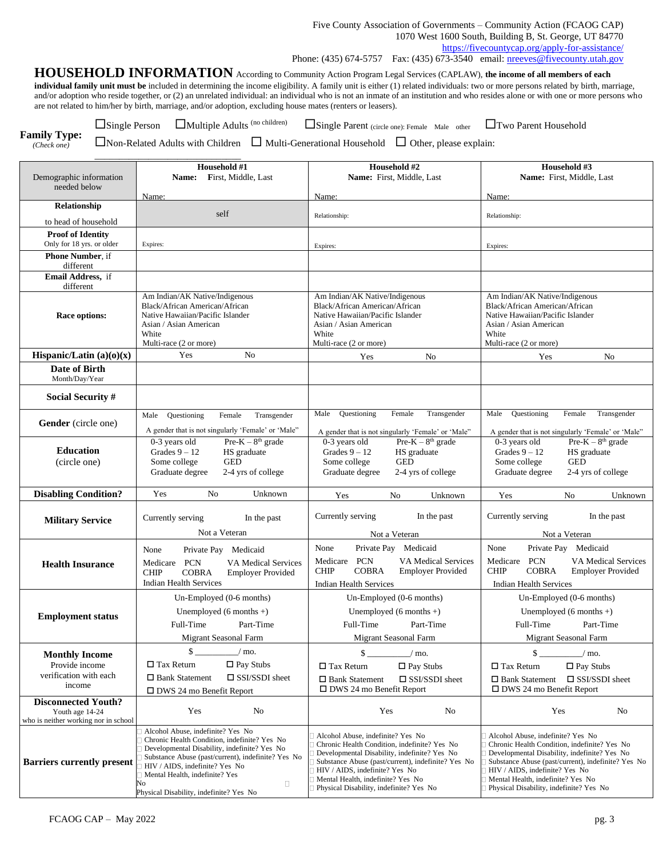**HOUSEHOLD INFORMATION** According to Community Action Program Legal Services (CAPLAW), **the income of all members of each individual family unit must be** included in determining the income eligibility. A family unit is either (1) related individuals: two or more persons related by birth, marriage, and/or adoption who reside together, or (2) an unrelated individual: an individual who is not an inmate of an institution and who resides alone or with one or more persons who are not related to him/her by birth, marriage, and/or adoption, excluding house mates (renters or leasers).

**Family Type:**

Single Person Multiple Adults (no children)

\_\_\_\_\_\_\_\_\_\_\_\_\_\_\_\_\_\_\_\_\_\_\_\_\_\_\_\_\_\_

Single Parent (circle one): Female Male other Two Parent Household

*(Check one)*

 $\Box$ Non-Related Adults with Children  $\Box$  Multi-Generational Household  $\Box$  Other, please explain:

|                                                                                       | Household #1                                                                                                                                                                                                                                                                                                           | Household #2                                                                                                                                                                                                                                                                                              | Household #3                                                                                                                                                                                                                                                                                              |
|---------------------------------------------------------------------------------------|------------------------------------------------------------------------------------------------------------------------------------------------------------------------------------------------------------------------------------------------------------------------------------------------------------------------|-----------------------------------------------------------------------------------------------------------------------------------------------------------------------------------------------------------------------------------------------------------------------------------------------------------|-----------------------------------------------------------------------------------------------------------------------------------------------------------------------------------------------------------------------------------------------------------------------------------------------------------|
| Demographic information<br>needed below                                               | First, Middle, Last<br><b>Name:</b>                                                                                                                                                                                                                                                                                    | Name: First, Middle, Last                                                                                                                                                                                                                                                                                 | Name: First, Middle, Last                                                                                                                                                                                                                                                                                 |
|                                                                                       | Name:                                                                                                                                                                                                                                                                                                                  | Name:                                                                                                                                                                                                                                                                                                     | Name:                                                                                                                                                                                                                                                                                                     |
| Relationship                                                                          |                                                                                                                                                                                                                                                                                                                        |                                                                                                                                                                                                                                                                                                           |                                                                                                                                                                                                                                                                                                           |
| to head of household                                                                  | self                                                                                                                                                                                                                                                                                                                   | Relationship:                                                                                                                                                                                                                                                                                             | Relationship:                                                                                                                                                                                                                                                                                             |
| <b>Proof of Identity</b><br>Only for 18 yrs. or older                                 | Expires:                                                                                                                                                                                                                                                                                                               | Expires:                                                                                                                                                                                                                                                                                                  | Expires:                                                                                                                                                                                                                                                                                                  |
| Phone Number, if<br>different                                                         |                                                                                                                                                                                                                                                                                                                        |                                                                                                                                                                                                                                                                                                           |                                                                                                                                                                                                                                                                                                           |
| Email Address, if<br>different                                                        |                                                                                                                                                                                                                                                                                                                        |                                                                                                                                                                                                                                                                                                           |                                                                                                                                                                                                                                                                                                           |
| Race options:                                                                         | Am Indian/AK Native/Indigenous<br>Black/African American/African<br>Native Hawaiian/Pacific Islander<br>Asian / Asian American<br>White<br>Multi-race (2 or more)                                                                                                                                                      | Am Indian/AK Native/Indigenous<br>Black/African American/African<br>Native Hawaiian/Pacific Islander<br>Asian / Asian American<br>White<br>Multi-race (2 or more)                                                                                                                                         | Am Indian/AK Native/Indigenous<br>Black/African American/African<br>Native Hawaiian/Pacific Islander<br>Asian / Asian American<br>White<br>Multi-race (2 or more)                                                                                                                                         |
| Hispanic/Latin $(a)(o)(x)$                                                            | No<br>Yes                                                                                                                                                                                                                                                                                                              | No<br>Yes                                                                                                                                                                                                                                                                                                 | N <sub>o</sub><br>Yes                                                                                                                                                                                                                                                                                     |
| Date of Birth<br>Month/Day/Year                                                       |                                                                                                                                                                                                                                                                                                                        |                                                                                                                                                                                                                                                                                                           |                                                                                                                                                                                                                                                                                                           |
| Social Security #                                                                     |                                                                                                                                                                                                                                                                                                                        |                                                                                                                                                                                                                                                                                                           |                                                                                                                                                                                                                                                                                                           |
| Gender (circle one)                                                                   | Questioning<br>Female<br>Transgender<br>Male<br>A gender that is not singularly 'Female' or 'Male"                                                                                                                                                                                                                     | Male<br>Questioning<br>Female<br>Transgender<br>A gender that is not singularly 'Female' or 'Male"                                                                                                                                                                                                        | Male<br>Questioning<br>Female<br>Transgender<br>A gender that is not singularly 'Female' or 'Male"                                                                                                                                                                                                        |
| <b>Education</b><br>(circle one)                                                      | $Pre-K - 8th grade$<br>0-3 years old<br>Grades $9 - 12$<br>HS graduate<br><b>GED</b><br>Some college<br>Graduate degree<br>2-4 yrs of college                                                                                                                                                                          | $Pre-K-8th grade$<br>0-3 years old<br>Grades $9 - 12$<br>HS graduate<br><b>GED</b><br>Some college<br>Graduate degree<br>2-4 yrs of college                                                                                                                                                               | $Pre-K-8th grade$<br>0-3 years old<br>Grades $9 - 12$<br>HS graduate<br>Some college<br><b>GED</b><br>Graduate degree<br>2-4 yrs of college                                                                                                                                                               |
| <b>Disabling Condition?</b>                                                           | N <sub>o</sub><br>Unknown<br>Yes                                                                                                                                                                                                                                                                                       | Yes<br>No<br>Unknown                                                                                                                                                                                                                                                                                      | Yes<br>N <sub>0</sub><br>Unknown                                                                                                                                                                                                                                                                          |
| <b>Military Service</b>                                                               | Currently serving<br>In the past<br>Not a Veteran                                                                                                                                                                                                                                                                      | Currently serving<br>In the past<br>Not a Veteran                                                                                                                                                                                                                                                         | Currently serving<br>In the past<br>Not a Veteran                                                                                                                                                                                                                                                         |
| <b>Health Insurance</b>                                                               | Private Pay Medicaid<br>None<br>Medicare<br><b>PCN</b><br><b>VA Medical Services</b><br><b>COBRA</b><br><b>CHIP</b><br><b>Employer Provided</b><br><b>Indian Health Services</b>                                                                                                                                       | Private Pay Medicaid<br>None<br>Medicare<br><b>PCN</b><br>VA Medical Services<br><b>COBRA</b><br><b>CHIP</b><br><b>Employer Provided</b><br><b>Indian Health Services</b>                                                                                                                                 | None<br>Private Pay<br>Medicaid<br><b>PCN</b><br><b>VA Medical Services</b><br>Medicare<br><b>COBRA</b><br><b>CHIP</b><br><b>Employer Provided</b><br><b>Indian Health Services</b>                                                                                                                       |
| <b>Employment status</b>                                                              | Un-Employed (0-6 months)<br>Unemployed $(6$ months $+)$<br>Full-Time<br>Part-Time<br>Migrant Seasonal Farm                                                                                                                                                                                                             | Un-Employed (0-6 months)<br>Unemployed $(6$ months +)<br>Full-Time<br>Part-Time<br><b>Migrant Seasonal Farm</b>                                                                                                                                                                                           | Un-Employed (0-6 months)<br>Unemployed $(6$ months +)<br>Full-Time<br>Part-Time<br>Migrant Seasonal Farm                                                                                                                                                                                                  |
| <b>Monthly Income</b>                                                                 | \$<br>/ mo.                                                                                                                                                                                                                                                                                                            | \$<br>$/$ mo.                                                                                                                                                                                                                                                                                             | $\mathsf{S}$ .<br>$/$ mo.                                                                                                                                                                                                                                                                                 |
| Provide income                                                                        | $\Box$ Pay Stubs<br>$\Box$ Tax Return                                                                                                                                                                                                                                                                                  | $\Box$ Tax Return<br>$\Box$ Pay Stubs                                                                                                                                                                                                                                                                     | $\Box$ Pay Stubs<br>$\Box$ Tax Return                                                                                                                                                                                                                                                                     |
| verification with each<br>income                                                      | $\Box$ Bank Statement<br>$\square$ SSI/SSDI sheet<br>$\Box$ DWS 24 mo Benefit Report                                                                                                                                                                                                                                   | $\Box$ Bank Statement<br>$\square$ SSI/SSDI sheet<br>$\square$ DWS 24 mo Benefit Report                                                                                                                                                                                                                   | $\Box$ Bank Statement<br>$\square$ SSI/SSDI sheet<br>$\Box$ DWS 24 mo Benefit Report                                                                                                                                                                                                                      |
| <b>Disconnected Youth?</b><br>Youth age 14-24<br>who is neither working nor in school | Yes<br>No                                                                                                                                                                                                                                                                                                              | Yes<br>No                                                                                                                                                                                                                                                                                                 | Yes<br>No                                                                                                                                                                                                                                                                                                 |
| <b>Barriers currently present</b>                                                     | Alcohol Abuse, indefinite? Yes No<br>Chronic Health Condition, indefinite? Yes No<br>Developmental Disability, indefinite? Yes No<br>Substance Abuse (past/current), indefinite? Yes No<br>HIV / AIDS, indefinite? Yes No<br>Mental Health, indefinite? Yes<br>No<br>$\Box$<br>Physical Disability, indefinite? Yes No | Alcohol Abuse, indefinite? Yes No<br>Chronic Health Condition, indefinite? Yes No<br>Developmental Disability, indefinite? Yes No<br>Substance Abuse (past/current), indefinite? Yes No<br>HIV / AIDS, indefinite? Yes No<br>Mental Health, indefinite? Yes No<br>Physical Disability, indefinite? Yes No | Alcohol Abuse, indefinite? Yes No<br>Chronic Health Condition, indefinite? Yes No<br>Developmental Disability, indefinite? Yes No<br>Substance Abuse (past/current), indefinite? Yes No<br>HIV / AIDS, indefinite? Yes No<br>Mental Health, indefinite? Yes No<br>Physical Disability, indefinite? Yes No |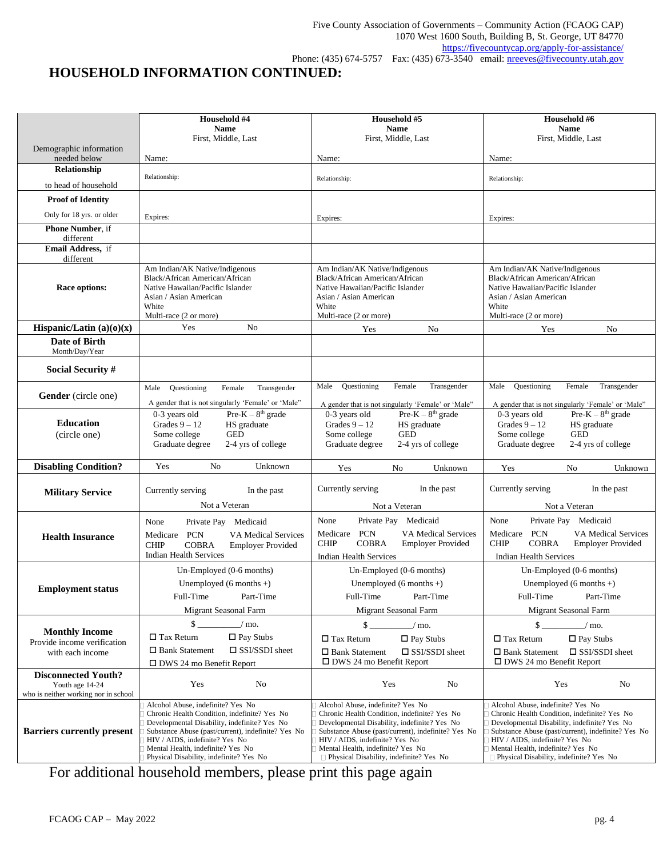# **HOUSEHOLD INFORMATION CONTINUED:**

|                                                                                       | Household #4                                                                                                                                                                                                         | Household #5                                                                                                                                                                                                         | Household #6                                                                                                                                                                                                                |  |
|---------------------------------------------------------------------------------------|----------------------------------------------------------------------------------------------------------------------------------------------------------------------------------------------------------------------|----------------------------------------------------------------------------------------------------------------------------------------------------------------------------------------------------------------------|-----------------------------------------------------------------------------------------------------------------------------------------------------------------------------------------------------------------------------|--|
|                                                                                       | <b>Name</b><br>First, Middle, Last                                                                                                                                                                                   | <b>Name</b><br>First, Middle, Last                                                                                                                                                                                   | <b>Name</b><br>First, Middle, Last                                                                                                                                                                                          |  |
| Demographic information<br>needed below                                               | Name:                                                                                                                                                                                                                | Name:                                                                                                                                                                                                                | Name:                                                                                                                                                                                                                       |  |
| Relationship                                                                          | Relationship:                                                                                                                                                                                                        |                                                                                                                                                                                                                      |                                                                                                                                                                                                                             |  |
| to head of household                                                                  |                                                                                                                                                                                                                      | Relationship:                                                                                                                                                                                                        | Relationship:                                                                                                                                                                                                               |  |
| <b>Proof of Identity</b>                                                              |                                                                                                                                                                                                                      |                                                                                                                                                                                                                      |                                                                                                                                                                                                                             |  |
| Only for 18 yrs. or older                                                             | Expires:                                                                                                                                                                                                             | Expires:                                                                                                                                                                                                             | Expires:                                                                                                                                                                                                                    |  |
| <b>Phone Number</b> , if<br>different                                                 |                                                                                                                                                                                                                      |                                                                                                                                                                                                                      |                                                                                                                                                                                                                             |  |
| Email Address, if                                                                     |                                                                                                                                                                                                                      |                                                                                                                                                                                                                      |                                                                                                                                                                                                                             |  |
| different<br>Race options:                                                            | Am Indian/AK Native/Indigenous<br>Black/African American/African<br>Native Hawaiian/Pacific Islander<br>Asian / Asian American<br>White<br>Multi-race (2 or more)                                                    | Am Indian/AK Native/Indigenous<br>Black/African American/African<br>Native Hawaiian/Pacific Islander<br>Asian / Asian American<br>White<br>Multi-race (2 or more)                                                    | Am Indian/AK Native/Indigenous<br>Black/African American/African<br>Native Hawaiian/Pacific Islander<br>Asian / Asian American<br>White<br>Multi-race (2 or more)                                                           |  |
| Hispanic/Latin $(a)(o)(x)$                                                            | Yes<br>No                                                                                                                                                                                                            | No<br>Yes                                                                                                                                                                                                            | No<br>Yes                                                                                                                                                                                                                   |  |
| Date of Birth<br>Month/Day/Year                                                       |                                                                                                                                                                                                                      |                                                                                                                                                                                                                      |                                                                                                                                                                                                                             |  |
| <b>Social Security #</b>                                                              |                                                                                                                                                                                                                      |                                                                                                                                                                                                                      |                                                                                                                                                                                                                             |  |
| Gender (circle one)                                                                   | Transgender<br>Questioning<br>Female<br>Male<br>A gender that is not singularly 'Female' or 'Male"                                                                                                                   | Female<br>Male<br>Questioning<br>Transgender<br>A gender that is not singularly 'Female' or 'Male"                                                                                                                   | Transgender<br>Male<br>Questioning<br>Female<br>A gender that is not singularly 'Female' or 'Male"                                                                                                                          |  |
| <b>Education</b><br>(circle one)                                                      | $Pre-K-8th grade$<br>0-3 years old<br>Grades $9 - 12$<br>HS graduate<br>Some college<br><b>GED</b><br>2-4 yrs of college<br>Graduate degree                                                                          | $Pre-K-8th grade$<br>0-3 years old<br>Grades $9 - 12$<br>HS graduate<br>Some college<br><b>GED</b><br>2-4 yrs of college<br>Graduate degree                                                                          | $Pre-K-8th grade$<br>0-3 years old<br>Grades $9 - 12$<br>HS graduate<br>Some college<br><b>GED</b><br>Graduate degree<br>2-4 yrs of college                                                                                 |  |
| <b>Disabling Condition?</b>                                                           | Yes<br>N <sub>o</sub><br>Unknown                                                                                                                                                                                     | Yes<br>Unknown<br>No                                                                                                                                                                                                 | Yes<br>No<br>Unknown                                                                                                                                                                                                        |  |
| <b>Military Service</b>                                                               | Currently serving<br>In the past<br>Not a Veteran                                                                                                                                                                    | Currently serving<br>In the past<br>Not a Veteran                                                                                                                                                                    | In the past<br>Currently serving<br>Not a Veteran                                                                                                                                                                           |  |
|                                                                                       | Private Pay<br>Medicaid<br>None                                                                                                                                                                                      | Private Pay<br>Medicaid<br>None                                                                                                                                                                                      | None<br>Private Pay Medicaid                                                                                                                                                                                                |  |
| <b>Health Insurance</b>                                                               | PCN<br>VA Medical Services<br>Medicare<br><b>CHIP</b><br><b>COBRA</b><br><b>Employer Provided</b><br><b>Indian Health Services</b>                                                                                   | Medicare PCN<br><b>VA Medical Services</b><br><b>COBRA</b><br><b>CHIP</b><br><b>Employer Provided</b><br><b>Indian Health Services</b>                                                                               | PCN<br>Medicare<br><b>VA Medical Services</b><br><b>COBRA</b><br><b>CHIP</b><br><b>Employer Provided</b><br><b>Indian Health Services</b>                                                                                   |  |
|                                                                                       | Un-Employed (0-6 months)                                                                                                                                                                                             | Un-Employed (0-6 months)                                                                                                                                                                                             | Un-Employed (0-6 months)                                                                                                                                                                                                    |  |
| <b>Employment status</b>                                                              | Unemployed $(6$ months +)                                                                                                                                                                                            | Unemployed $(6$ months $+)$                                                                                                                                                                                          | Unemployed $(6$ months +)                                                                                                                                                                                                   |  |
|                                                                                       | Full-Time<br>Part-Time                                                                                                                                                                                               | Full-Time<br>Part-Time                                                                                                                                                                                               | Full-Time<br>Part-Time                                                                                                                                                                                                      |  |
|                                                                                       | Migrant Seasonal Farm                                                                                                                                                                                                | <b>Migrant Seasonal Farm</b>                                                                                                                                                                                         | Migrant Seasonal Farm                                                                                                                                                                                                       |  |
| <b>Monthly Income</b>                                                                 | \$<br>$/$ mo.<br>$\Box$ Tax Return<br>$\Box$ Pay Stubs                                                                                                                                                               | $\mathbb{S}$<br>$/$ mo.<br>$\Box$ Tax Return<br>$\Box$ Pay Stubs                                                                                                                                                     | $\mathcal{S}$ .<br>$/$ mo.<br>$\Box$ Tax Return<br>$\Box$ Pay Stubs                                                                                                                                                         |  |
| Provide income verification<br>with each income                                       | □ Bank Statement<br>$\Box$ SSI/SSDI sheet                                                                                                                                                                            | $\square$ SSI/SSDI sheet<br>$\Box$ Bank Statement                                                                                                                                                                    | $\square$ SSI/SSDI sheet<br>$\Box$ Bank Statement                                                                                                                                                                           |  |
|                                                                                       | $\Box$ DWS 24 mo Benefit Report                                                                                                                                                                                      | $\square$ DWS 24 mo Benefit Report                                                                                                                                                                                   | $\Box$ DWS 24 mo Benefit Report                                                                                                                                                                                             |  |
| <b>Disconnected Youth?</b><br>Youth age 14-24<br>who is neither working nor in school | Yes<br>N <sub>o</sub>                                                                                                                                                                                                | No<br>Yes                                                                                                                                                                                                            | Yes<br>No                                                                                                                                                                                                                   |  |
|                                                                                       | Alcohol Abuse, indefinite? Yes No<br>Chronic Health Condition, indefinite? Yes No                                                                                                                                    | Alcohol Abuse, indefinite? Yes No<br>Chronic Health Condition, indefinite? Yes No                                                                                                                                    | Alcohol Abuse, indefinite? Yes No<br>Chronic Health Condition, indefinite? Yes No                                                                                                                                           |  |
| <b>Barriers currently present</b>                                                     | Developmental Disability, indefinite? Yes No<br>Substance Abuse (past/current), indefinite? Yes No<br>HIV / AIDS, indefinite? Yes No<br>Mental Health, indefinite? Yes No<br>Physical Disability, indefinite? Yes No | Developmental Disability, indefinite? Yes No<br>Substance Abuse (past/current), indefinite? Yes No<br>HIV / AIDS, indefinite? Yes No<br>Mental Health, indefinite? Yes No<br>Physical Disability, indefinite? Yes No | Developmental Disability, indefinite? Yes No<br>Substance Abuse (past/current), indefinite? Yes No<br>HIV / AIDS, indefinite? Yes No<br>Mental Health, indefinite? Yes No<br>$\Box$ Physical Disability, indefinite? Yes No |  |

For additional household members, please print this page again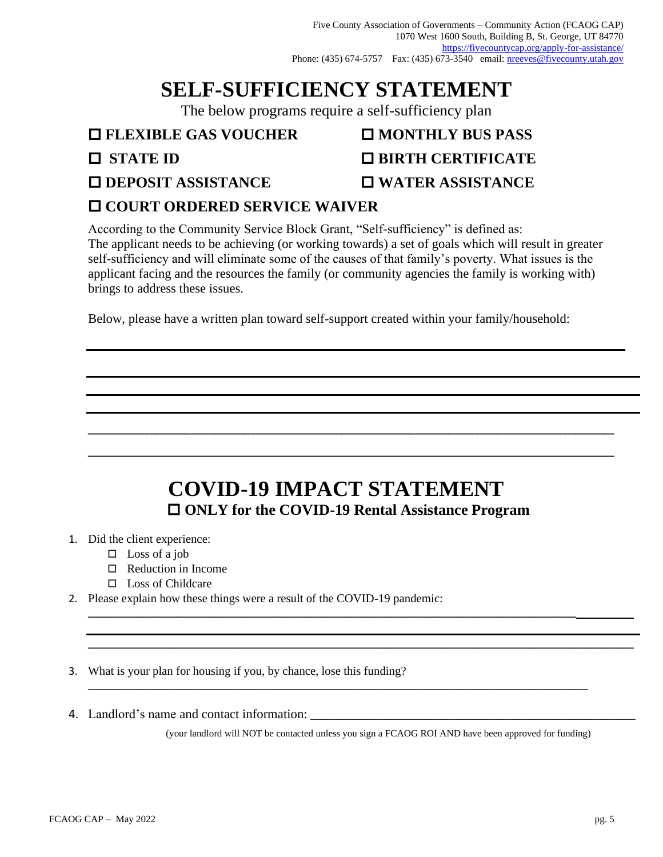Five County Association of Governments – Community Action (FCAOG CAP) 1070 West 1600 South, Building B, St. George, UT 84770 <https://fivecountycap.org/apply-for-assistance/> Phone: (435) 674-5757 Fax: (435) 673-3540 email: [nreeves@fivecounty.utah.gov](mailto:nreeves@fivecounty.utah.gov)

# **SELF-SUFFICIENCY STATEMENT**

The below programs require a self-sufficiency plan

## **□ FLEXIBLE GAS VOUCHER** ■ MONTHLY BUS PASS

- **STATE ID BIRTH CERTIFICATE**
- **DEPOSIT ASSISTANCE WATER ASSISTANCE**

# **COURT ORDERED SERVICE WAIVER**

According to the Community Service Block Grant, "Self-sufficiency" is defined as: The applicant needs to be achieving (or working towards) a set of goals which will result in greater self-sufficiency and will eliminate some of the causes of that family's poverty. What issues is the applicant facing and the resources the family (or community agencies the family is working with) brings to address these issues.

Below, please have a written plan toward self-support created within your family/household:

# **COVID-19 IMPACT STATEMENT ONLY for the COVID-19 Rental Assistance Program**

**\_\_\_\_\_\_\_\_\_\_\_\_\_\_\_\_\_\_\_\_\_\_\_\_\_\_\_\_\_\_\_\_\_\_\_\_\_\_\_\_\_\_\_\_\_\_\_\_\_\_\_\_\_\_\_\_\_\_\_\_\_\_\_\_\_\_\_\_\_\_\_\_\_\_\_\_\_\_\_\_\_\_**

**\_\_\_\_\_\_\_\_\_\_\_\_\_\_\_\_\_\_\_\_\_\_\_\_\_\_\_\_\_\_\_\_\_\_\_\_\_\_\_\_\_\_\_\_\_\_\_\_\_\_\_\_\_\_\_\_\_\_\_\_\_\_\_\_\_\_\_\_\_\_\_\_\_\_\_\_\_\_\_\_\_\_\_\_**

**\_\_\_\_\_\_\_\_\_\_\_\_\_\_\_\_\_\_\_\_\_\_\_\_\_\_\_\_\_\_\_\_\_\_\_\_\_\_\_\_\_\_\_\_\_\_\_\_\_\_\_\_\_\_\_\_\_\_\_\_\_\_\_\_\_\_\_\_\_\_\_\_\_\_\_\_\_\_\_\_\_\_\_\_**

\_\_\_\_\_\_\_\_\_\_\_\_\_\_\_\_\_\_\_\_\_\_\_\_\_\_\_\_\_\_\_\_\_\_\_\_\_\_\_\_\_\_\_\_\_\_\_\_\_\_\_\_\_\_

\_\_\_\_\_\_\_\_\_\_\_\_\_\_\_\_\_\_\_\_\_\_\_\_\_\_\_\_\_\_\_\_\_\_\_\_\_\_\_\_\_\_\_\_\_\_\_\_\_\_\_\_\_\_

- 1. Did the client experience:
	- $\square$  Loss of a job
	- □ Reduction in Income
	- □ Loss of Childcare
- 2. Please explain how these things were a result of the COVID-19 pandemic:

3. What is your plan for housing if you, by chance, lose this funding?

4. Landlord's name and contact information:

(your landlord will NOT be contacted unless you sign a FCAOG ROI AND have been approved for funding)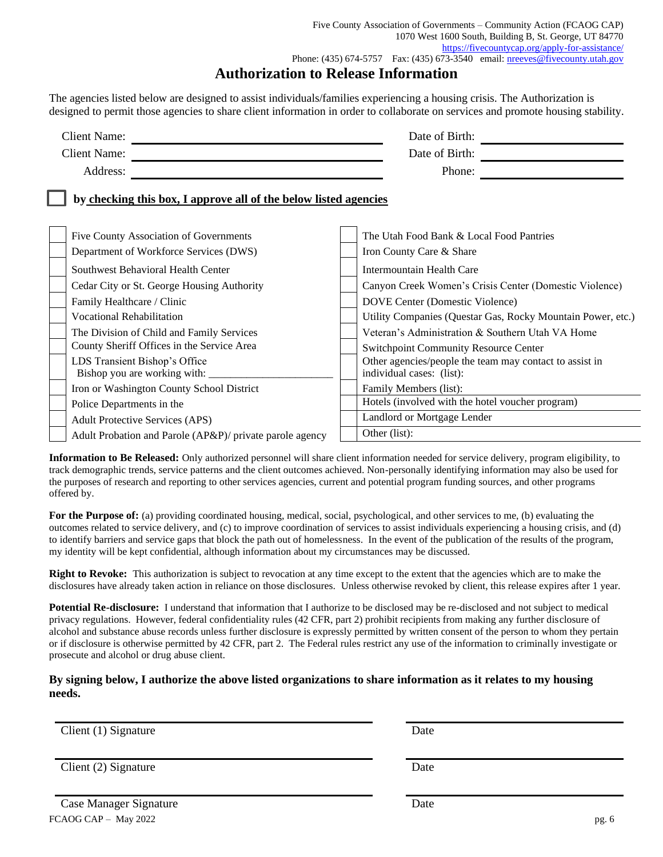Five County Association of Governments – Community Action (FCAOG CAP) 1070 West 1600 South, Building B, St. George, UT 84770 <https://fivecountycap.org/apply-for-assistance/> Phone: (435) 674-5757 Fax: (435) 673-3540 email: [nreeves@fivecounty.utah.gov](mailto:nreeves@fivecounty.utah.gov)

## **Authorization to Release Information**

The agencies listed below are designed to assist individuals/families experiencing a housing crisis. The Authorization is designed to permit those agencies to share client information in order to collaborate on services and promote housing stability.

| Date of Birth:                                                                                           |
|----------------------------------------------------------------------------------------------------------|
| Date of Birth:                                                                                           |
| Phone:                                                                                                   |
| by checking this box, I approve all of the below listed agencies                                         |
| The Utah Food Bank & Local Food Pantries<br>Iron County Care & Share                                     |
| Intermountain Health Care<br>Canyon Creek Women's Crisis Center (Domestic Violence)                      |
| DOVE Center (Domestic Violence)<br>Utility Companies (Questar Gas, Rocky Mountain Power, etc.)           |
| Veteran's Administration & Southern Utah VA Home<br><b>Switchpoint Community Resource Center</b>         |
| Other agencies/people the team may contact to assist in<br>individual cases: (list):                     |
| Family Members (list):<br>Hotels (involved with the hotel voucher program)                               |
| Landlord or Mortgage Lender<br>Other (list):<br>Adult Probation and Parole (AP&P)/ private parole agency |
|                                                                                                          |

**Information to Be Released:** Only authorized personnel will share client information needed for service delivery, program eligibility, to track demographic trends, service patterns and the client outcomes achieved. Non-personally identifying information may also be used for the purposes of research and reporting to other services agencies, current and potential program funding sources, and other programs offered by.

For the Purpose of: (a) providing coordinated housing, medical, social, psychological, and other services to me, (b) evaluating the outcomes related to service delivery, and (c) to improve coordination of services to assist individuals experiencing a housing crisis, and (d) to identify barriers and service gaps that block the path out of homelessness. In the event of the publication of the results of the program, my identity will be kept confidential, although information about my circumstances may be discussed.

**Right to Revoke:** This authorization is subject to revocation at any time except to the extent that the agencies which are to make the disclosures have already taken action in reliance on those disclosures. Unless otherwise revoked by client, this release expires after 1 year.

**Potential Re-disclosure:** I understand that information that I authorize to be disclosed may be re-disclosed and not subject to medical privacy regulations. However, federal confidentiality rules (42 CFR, part 2) prohibit recipients from making any further disclosure of alcohol and substance abuse records unless further disclosure is expressly permitted by written consent of the person to whom they pertain or if disclosure is otherwise permitted by 42 CFR, part 2. The Federal rules restrict any use of the information to criminally investigate or prosecute and alcohol or drug abuse client.

### **By signing below, I authorize the above listed organizations to share information as it relates to my housing needs.**

Client (1) Signature Date

Client (2) Signature Date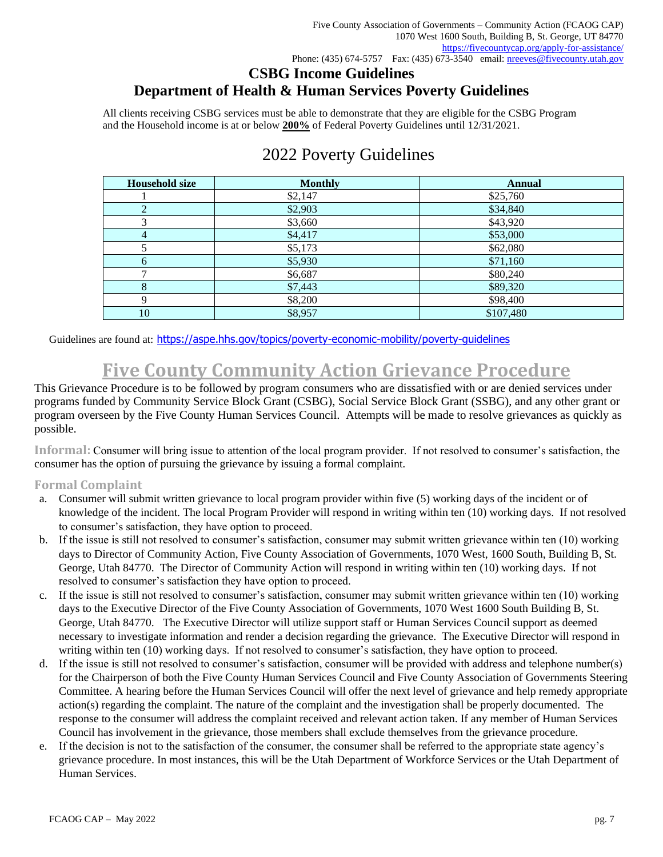# **CSBG Income Guidelines Department of Health & Human Services Poverty Guidelines**

All clients receiving CSBG services must be able to demonstrate that they are eligible for the CSBG Program and the Household income is at or below **200%** of Federal Poverty Guidelines until 12/31/2021.

| <b>Household size</b> | <b>Monthly</b> | <b>Annual</b> |
|-----------------------|----------------|---------------|
|                       | \$2,147        | \$25,760      |
|                       | \$2,903        | \$34,840      |
|                       | \$3,660        | \$43,920      |
| $\overline{4}$        | \$4,417        | \$53,000      |
|                       | \$5,173        | \$62,080      |
| 6                     | \$5,930        | \$71,160      |
|                       | \$6,687        | \$80,240      |
| 8                     | \$7,443        | \$89,320      |
| Q                     | \$8,200        | \$98,400      |
| 10                    | \$8,957        | \$107,480     |

# 2022 Poverty Guidelines

Guidelines are found at: https://aspe.hhs.gov/topics/poverty-economic-mobility/poverty-quidelines

# **Five County Community Action Grievance Procedure**

This Grievance Procedure is to be followed by program consumers who are dissatisfied with or are denied services under programs funded by Community Service Block Grant (CSBG), Social Service Block Grant (SSBG), and any other grant or program overseen by the Five County Human Services Council. Attempts will be made to resolve grievances as quickly as possible.

**Informal:** Consumer will bring issue to attention of the local program provider. If not resolved to consumer's satisfaction, the consumer has the option of pursuing the grievance by issuing a formal complaint.

### **Formal Complaint**

- a. Consumer will submit written grievance to local program provider within five (5) working days of the incident or of knowledge of the incident. The local Program Provider will respond in writing within ten (10) working days. If not resolved to consumer's satisfaction, they have option to proceed.
- b. If the issue is still not resolved to consumer's satisfaction, consumer may submit written grievance within ten (10) working days to Director of Community Action, Five County Association of Governments, 1070 West, 1600 South, Building B, St. George, Utah 84770. The Director of Community Action will respond in writing within ten (10) working days. If not resolved to consumer's satisfaction they have option to proceed.
- c. If the issue is still not resolved to consumer's satisfaction, consumer may submit written grievance within ten (10) working days to the Executive Director of the Five County Association of Governments, 1070 West 1600 South Building B, St. George, Utah 84770. The Executive Director will utilize support staff or Human Services Council support as deemed necessary to investigate information and render a decision regarding the grievance. The Executive Director will respond in writing within ten (10) working days. If not resolved to consumer's satisfaction, they have option to proceed.
- d. If the issue is still not resolved to consumer's satisfaction, consumer will be provided with address and telephone number(s) for the Chairperson of both the Five County Human Services Council and Five County Association of Governments Steering Committee. A hearing before the Human Services Council will offer the next level of grievance and help remedy appropriate action(s) regarding the complaint. The nature of the complaint and the investigation shall be properly documented. The response to the consumer will address the complaint received and relevant action taken. If any member of Human Services Council has involvement in the grievance, those members shall exclude themselves from the grievance procedure.
- e. If the decision is not to the satisfaction of the consumer, the consumer shall be referred to the appropriate state agency's grievance procedure. In most instances, this will be the Utah Department of Workforce Services or the Utah Department of Human Services.